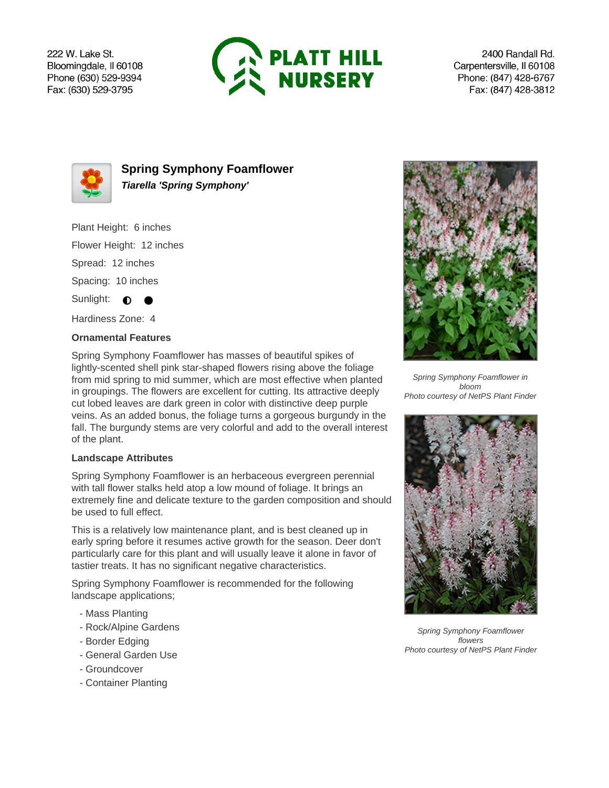222 W. Lake St. Bloomingdale, Il 60108 Phone (630) 529-9394 Fax: (630) 529-3795



2400 Randall Rd. Carpentersville, Il 60108 Phone: (847) 428-6767 Fax: (847) 428-3812



**Spring Symphony Foamflower Tiarella 'Spring Symphony'**

Plant Height: 6 inches

Flower Height: 12 inches

Spread: 12 inches

Spacing: 10 inches

Sunlight:  $\bigcirc$ 

Hardiness Zone: 4

## **Ornamental Features**

Spring Symphony Foamflower has masses of beautiful spikes of lightly-scented shell pink star-shaped flowers rising above the foliage from mid spring to mid summer, which are most effective when planted in groupings. The flowers are excellent for cutting. Its attractive deeply cut lobed leaves are dark green in color with distinctive deep purple veins. As an added bonus, the foliage turns a gorgeous burgundy in the fall. The burgundy stems are very colorful and add to the overall interest of the plant.

## **Landscape Attributes**

Spring Symphony Foamflower is an herbaceous evergreen perennial with tall flower stalks held atop a low mound of foliage. It brings an extremely fine and delicate texture to the garden composition and should be used to full effect.

This is a relatively low maintenance plant, and is best cleaned up in early spring before it resumes active growth for the season. Deer don't particularly care for this plant and will usually leave it alone in favor of tastier treats. It has no significant negative characteristics.

Spring Symphony Foamflower is recommended for the following landscape applications;

- Mass Planting
- Rock/Alpine Gardens
- Border Edging
- General Garden Use
- Groundcover
- Container Planting



Spring Symphony Foamflower in bloom Photo courtesy of NetPS Plant Finder



Spring Symphony Foamflower flowers Photo courtesy of NetPS Plant Finder